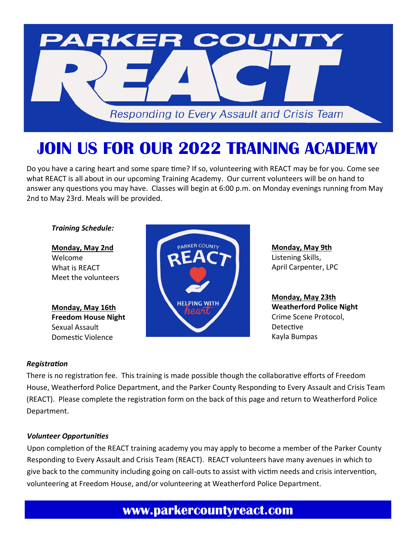

# **JOIN US FOR OUR 2022 TRAINING ACADEMY**

Do you have a caring heart and some spare time? If so, volunteering with REACT may be for you. Come see what REACT is all about in our upcoming Training Academy. Our current volunteers will be on hand to answer any questions you may have. Classes will begin at 6:00 p.m. on Monday evenings running from May 2nd to May 23rd. Meals will be provided.

#### *Training Schedule:*

**Monday, May 2nd** Welcome What is REACT Meet the volunteers

**Monday, May 16th Freedom House Night** Sexual Assault Domestic Violence



**Monday, May 9th**  Listening Skills, April Carpenter, LPC

**Monday, May 23th Weatherford Police Night** Crime Scene Protocol, Detective Kayla Bumpas

## *Registration*

There is no registration fee. This training is made possible though the collaborative efforts of Freedom House, Weatherford Police Department, and the Parker County Responding to Every Assault and Crisis Team (REACT). Please complete the registration form on the back of this page and return to Weatherford Police Department.

## *Volunteer Opportunities*

Upon completion of the REACT training academy you may apply to become a member of the Parker County Responding to Every Assault and Crisis Team (REACT). REACT volunteers have many avenues in which to give back to the community including going on call-outs to assist with victim needs and crisis intervention, volunteering at Freedom House, and/or volunteering at Weatherford Police Department.

# **www.parkercountyreact.com**